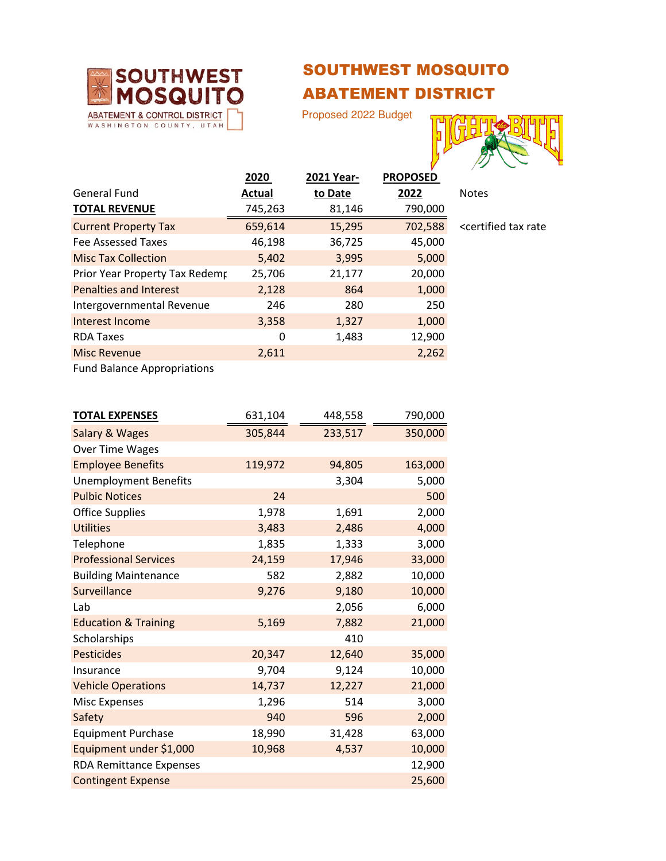

## SOUTHWEST MOSQUITO ABATEMENT DISTRICT

Proposed 2022 Budget



|                                | 2020    | 2021 Year- | <b>PROPOSED</b> |                                               |
|--------------------------------|---------|------------|-----------------|-----------------------------------------------|
| <b>General Fund</b>            | Actual  | to Date    | 2022            | <b>Notes</b>                                  |
| <b>TOTAL REVENUE</b>           | 745,263 | 81,146     | 790,000         |                                               |
| <b>Current Property Tax</b>    | 659,614 | 15,295     | 702,588         | <certified rate<="" tax="" td=""></certified> |
| Fee Assessed Taxes             | 46,198  | 36,725     | 45,000          |                                               |
| <b>Misc Tax Collection</b>     | 5,402   | 3,995      | 5,000           |                                               |
| Prior Year Property Tax Redemp | 25,706  | 21,177     | 20,000          |                                               |
| <b>Penalties and Interest</b>  | 2,128   | 864        | 1,000           |                                               |
| Intergovernmental Revenue      | 246     | 280        | 250             |                                               |
| Interest Income                | 3,358   | 1,327      | 1,000           |                                               |
| <b>RDA Taxes</b>               | 0       | 1,483      | 12,900          |                                               |
| <b>Misc Revenue</b>            | 2,611   |            | 2,262           |                                               |
|                                |         |            |                 |                                               |

Fund Balance Appropriations

| <b>TOTAL EXPENSES</b>           | 631,104 | 448,558 | 790,000 |
|---------------------------------|---------|---------|---------|
| <b>Salary &amp; Wages</b>       | 305,844 | 233,517 | 350,000 |
| Over Time Wages                 |         |         |         |
| <b>Employee Benefits</b>        | 119,972 | 94,805  | 163,000 |
| <b>Unemployment Benefits</b>    |         | 3,304   | 5,000   |
| <b>Pulbic Notices</b>           | 24      |         | 500     |
| <b>Office Supplies</b>          | 1,978   | 1,691   | 2,000   |
| <b>Utilities</b>                | 3,483   | 2,486   | 4,000   |
| Telephone                       | 1,835   | 1,333   | 3,000   |
| <b>Professional Services</b>    | 24,159  | 17,946  | 33,000  |
| <b>Building Maintenance</b>     | 582     | 2,882   | 10,000  |
| Surveillance                    | 9,276   | 9,180   | 10,000  |
| Lab                             |         | 2,056   | 6,000   |
| <b>Education &amp; Training</b> | 5,169   | 7,882   | 21,000  |
| Scholarships                    |         | 410     |         |
| <b>Pesticides</b>               | 20,347  | 12,640  | 35,000  |
| Insurance                       | 9,704   | 9,124   | 10,000  |
| <b>Vehicle Operations</b>       | 14,737  | 12,227  | 21,000  |
| <b>Misc Expenses</b>            | 1,296   | 514     | 3,000   |
| Safety                          | 940     | 596     | 2,000   |
| <b>Equipment Purchase</b>       | 18,990  | 31,428  | 63,000  |
| Equipment under \$1,000         | 10,968  | 4,537   | 10,000  |
| <b>RDA Remittance Expenses</b>  |         |         | 12,900  |
| <b>Contingent Expense</b>       |         |         | 25,600  |